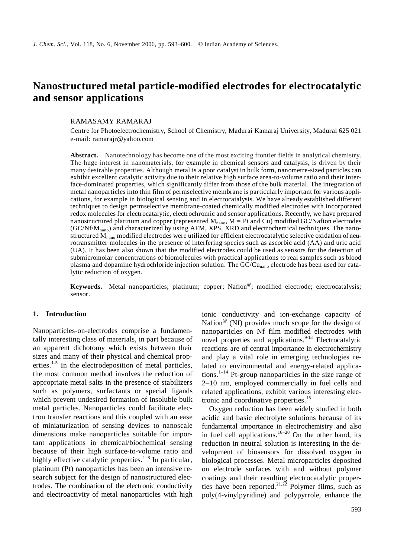# **Nanostructured metal particle-modified electrodes for electrocatalytic and sensor applications**

### RAMASAMY RAMARAJ

Centre for Photoelectrochemistry, School of Chemistry, Madurai Kamaraj University, Madurai 625 021 e-mail: ramarajr@yahoo.com

**Abstract.** Nanotechnology has become one of the most exciting frontier fields in analytical chemistry. The huge interest in nanomaterials, for example in chemical sensors and catalysis, is driven by their many desirable properties. Although metal is a poor catalyst in bulk form, nanometre-sized particles can exhibit excellent catalytic activity due to their relative high surface area-to-volume ratio and their interface-dominated properties, which significantly differ from those of the bulk material. The integration of metal nanoparticles into thin film of permselective membrane is particularly important for various applications, for example in biological sensing and in electrocatalysis. We have already established different techniques to design permselective membrane-coated chemically modified electrodes with incorporated redox molecules for electrocatalytic, electrochromic and sensor applications. Recently, we have prepared nanostructured platinum and copper (represented  $M_{\text{nano}}$ ,  $M = Pt$  and Cu) modified GC/Nafion electrodes  $(GC/Nf/M<sub>nano</sub>)$  and characterized by using AFM, XPS, XRD and electrochemical techniques. The nanostructured M<sub>nano</sub> modified electrodes were utilized for efficient electrocatalytic selective oxidation of neurotransmitter molecules in the presence of interfering species such as ascorbic acid (AA) and uric acid (UA). It has been also shown that the modified electrodes could be used as sensors for the detection of submicromolar concentrations of biomolecules with practical applications to real samples such as blood plasma and dopamine hydrochloride injection solution. The  $\overline{GC/Cu_{\text{nano}}}$  electrode has been used for catalytic reduction of oxygen.

**Keywords.** Metal nanoparticles; platinum; copper; Nafion<sup>®</sup>; modified electrode; electrocatalysis; sensor.

#### **1. Introduction**

Nanoparticles-on-electrodes comprise a fundamentally interesting class of materials, in part because of an apparent dichotomy which exists between their sizes and many of their physical and chemical properties.<sup>1-5</sup> In the electrodeposition of metal particles, the most common method involves the reduction of appropriate metal salts in the presence of stabilizers such as polymers, surfactants or special ligands which prevent undesired formation of insoluble bulk metal particles. Nanoparticles could facilitate electron transfer reactions and this coupled with an ease of miniaturization of sensing devices to nanoscale dimensions make nanoparticles suitable for important applications in chemical/biochemical sensing because of their high surface-to-volume ratio and highly effective catalytic properties.<sup>1–8</sup> In particular, platinum (Pt) nanoparticles has been an intensive research subject for the design of nanostructured electrodes. The combination of the electronic conductivity and electroactivity of metal nanoparticles with high

ionic conductivity and ion-exchange capacity of Nafion<sup> $@$ </sup> (Nf) provides much scope for the design of nanoparticles on Nf film modified electrodes with novel properties and applications. $9-13$  Electrocatalytic reactions are of central importance in electrochemistry and play a vital role in emerging technologies related to environmental and energy-related applications.<sup>1–14</sup> Pt-group nanoparticles in the size range of 2–10 nm, employed commercially in fuel cells and related applications, exhibit various interesting electronic and coordinative properties.<sup>15</sup>

 Oxygen reduction has been widely studied in both acidic and basic electrolyte solutions because of its fundamental importance in electrochemistry and also in fuel cell applications.<sup>16–20</sup> On the other hand, its reduction in neutral solution is interesting in the development of biosensors for dissolved oxygen in biological processes. Metal microparticles deposited on electrode surfaces with and without polymer coatings and their resulting electrocatalytic properties have been reported.<sup>21,22</sup> Polymer films, such as poly(4-vinylpyridine) and polypyrrole, enhance the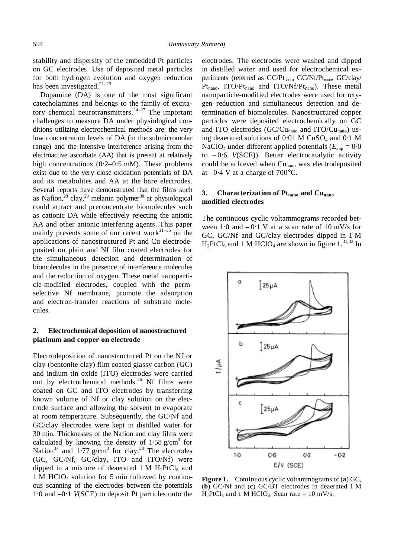stability and dispersity of the embedded Pt particles on GC electrodes. Use of deposited metal particles for both hydrogen evolution and oxygen reduction has been investigated. $21-23$ 

 Dopamine (DA) is one of the most significant catecholamines and belongs to the family of excitatory chemical neurotransmitters. $24-27$  The important challenges to measure DA under physiological conditions utilizing electrochemical methods are: the very low concentration levels of DA (in the submicromolar range) and the intensive interference arising from the electroactive ascorbate (AA) that is present at relatively high concentrations (0⋅2–0⋅5 mM). These problems exist due to the very close oxidation potentials of DA and its metabolites and AA at the bare electrodes. Several reports have demonstrated that the films such as Nafion,  $28 \text{ clay}, 29 \text{ melanin polymer}^{30}$  at physiological could attract and preconcentrate biomolecules such as cationic DA while effectively rejecting the anionic AA and other anionic interfering agents. This paper mainly presents some of our recent work $3^{31-35}$  on the applications of nanostructured Pt and Cu electrodeposited on plain and Nf film coated electrodes for the simultaneous detection and determination of biomolecules in the presence of interference molecules and the reduction of oxygen. These metal nanoparticle-modified electrodes, coupled with the permselective Nf membrane, promote the adsorption and electron-transfer reactions of substrate molecules.

# **2. Electrochemical deposition of nanostructured platinum and copper on electrode**

Electrodeposition of nanostructured Pt on the Nf or clay (bentonite clay) film coated glassy carbon (GC) and indium tin oxide (ITO) electrodes were carried out by electrochemical methods.<sup>36</sup> Nf films were coated on GC and ITO electrodes by transferring known volume of Nf or clay solution on the electrode surface and allowing the solvent to evaporate at room temperature. Subsequently, the GC/Nf and GC/clay electrodes were kept in distilled water for 30 min. Thicknesses of the Nafion and clay films were calculated by knowing the density of  $1.58 \text{ g/cm}^3$  for Nafion<sup>37</sup> and 1⋅77  $g/cm<sup>3</sup>$  for clay.<sup>38</sup> The electrodes (GC, GC/Nf, GC/clay, ITO and ITO/Nf) were dipped in a mixture of deaerated 1 M  $H_2PtCl_6$  and  $1 M HClO<sub>4</sub>$  solution for 5 min followed by continuous scanning of the electrodes between the potentials 1⋅0 and –0⋅1 *V*(SCE) to deposit Pt particles onto the

electrodes. The electrodes were washed and dipped in distilled water and used for electrochemical experiments (referred as GC/Pt<sub>nano</sub>, GC/Nf/Pt<sub>nano</sub>, GC/clay/  $Pt<sub>nano</sub>$ , ITO/ $Pt<sub>nano</sub>$  and ITO/ $Nf/Pt<sub>nano</sub>$ ). These metal nanoparticle-modified electrodes were used for oxygen reduction and simultaneous detection and determination of biomolecules. Nanostructured copper particles were deposited electrochemically on GC and ITO electrodes (GC/Cu<sub>nano</sub> and ITO/Cu<sub>nano</sub>) using deaerated solutions of 0⋅01 M CuSO4 and 0⋅1 M NaClO<sub>4</sub> under different applied potentials ( $E_{\text{app}} = 0.0$ ) to – 0⋅6 *V*(SCE)). Better electrocatalytic activity could be achieved when Cu<sub>nano</sub> was electrodeposited at –0⋅4 V at a charge of 700°C.

# **3.** Characterization of Pt<sub>nano</sub> and Cu<sub>nano</sub> **modified electrodes**

The continuous cyclic voltammograms recorded between  $1·0$  and  $-0·1$  V at a scan rate of 10 mV/s for GC, GC/Nf and GC/clay electrodes dipped in 1 M  $H_2PtCl_6$  and 1 M HClO<sub>4</sub> are shown in figure 1.<sup>31,32</sup> In



**Figure 1.** Continuous cyclic voltammograms of (**a**) GC, (**b**) GC/Nf and (**c**) GC/BT electrodes in deaerated 1 M  $H_2PtCl_6$  and 1 M HClO<sub>4</sub>. Scan rate = 10 mV/s.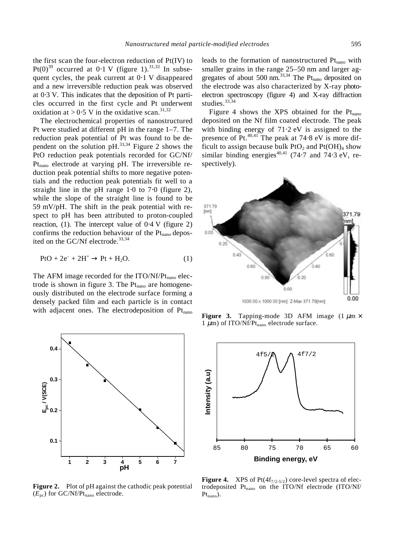the first scan the four-electron reduction of Pt(IV) to Pt(0)<sup>39</sup> occurred at 0⋅1 V (figure 1).<sup>31,32</sup> In subsequent cycles, the peak current at 0⋅1 V disappeared and a new irreversible reduction peak was observed at 0⋅3 V. This indicates that the deposition of Pt particles occurred in the first cycle and Pt underwent oxidation at > 0⋅5 V in the oxidative scan.<sup>31,32</sup>

 The electrochemical properties of nanostructured Pt were studied at different pH in the range 1–7. The reduction peak potential of Pt was found to be dependent on the solution  $pH$ <sup>33,34</sup> Figure 2 shows the PtO reduction peak potentials recorded for GC/Nf/ Pt<sub>nano</sub> electrode at varying pH. The irreversible reduction peak potential shifts to more negative potentials and the reduction peak potentials fit well to a straight line in the pH range 1⋅0 to 7⋅0 (figure 2), while the slope of the straight line is found to be 59 mV/pH. The shift in the peak potential with respect to pH has been attributed to proton-coupled reaction, (1). The intercept value of  $0.4$  V (figure 2) confirms the reduction behaviour of the  $Pt<sub>nano</sub>$  deposited on the GC/Nf electrode.<sup>33,34</sup>

$$
PtO + 2e^- + 2H^+ \rightarrow Pt + H_2O.
$$
 (1)

The AFM image recorded for the  $ITO/Nf/Pt_{nano}$  electrode is shown in figure 3. The  $Pt<sub>nano</sub>$  are homogeneously distributed on the electrode surface forming a densely packed film and each particle is in contact with adjacent ones. The electrodeposition of  $Pt<sub>nano</sub>$ 



**Figure 2.** Plot of pH against the cathodic peak potential  $(E_{pc})$  for GC/Nf/Pt<sub>nano</sub> electrode.

leads to the formation of nanostructured  $Pt<sub>nano</sub>$  with smaller grains in the range 25–50 nm and larger aggregates of about 500 nm. $^{33,34}$  The Pt<sub>nano</sub> deposited on the electrode was also characterized by X-ray photoelectron spectroscopy (figure 4) and X-ray diffraction studies.<sup>33,34</sup>

Figure 4 shows the XPS obtained for the  $Pt<sub>nano</sub>$ deposited on the Nf film coated electrode. The peak with binding energy of 71⋅2 eV is assigned to the presence of Pt.<sup>40,41</sup> The peak at 74⋅8 eV is more difficult to assign because bulk  $P_1O_2$  and  $P_1(OH)_4$  show similar binding energies<sup>40,41</sup> (74⋅7 and 74⋅3 eV, respectively).



**Figure 3.** Tapping-mode 3D AFM image  $(1 \mu m \times$ 1  $\mu$ m) of ITO/Nf/Pt<sub>nano</sub> electrode surface.



**Figure 4.** XPS of  $Pt(4f_{7/2.5/2})$  core-level spectra of electrodeposited Pt<sub>nano</sub> on the ITO/Nf electrode (ITO/Nf/  $Pt_{nano}$ ).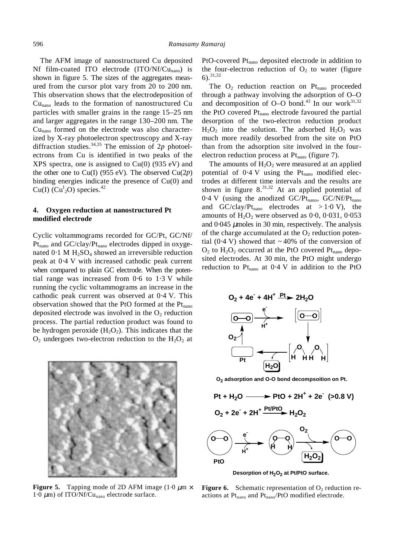The AFM image of nanostructured Cu deposited Nf film-coated ITO electrode  $(ITO/Nf/Cu_{nano})$  is shown in figure 5. The sizes of the aggregates measured from the cursor plot vary from 20 to 200 nm. This observation shows that the electrodeposition of Cunano leads to the formation of nanostructured Cu particles with smaller grains in the range 15–25 nm and larger aggregates in the range 130–200 nm. The  $Cu<sub>nano</sub>$  formed on the electrode was also characterized by X-ray photoelectron spectroscopy and X-ray diffraction studies.<sup>34,35</sup> The emission of 2 $p$  photoelectrons from Cu is identified in two peaks of the XPS spectra, one is assigned to  $Cu(0)$  (935 eV) and the other one to Cu(I) (955 eV). The observed  $Cu(2p)$ binding energies indicate the presence of Cu(0) and  $Cu(I)$  ( $Cu<sup>I</sup><sub>2</sub>O$ ) species.<sup>42</sup>

## **4. Oxygen reduction at nanostructured Pt modified electrode**

Cyclic voltammograms recorded for GC/Pt, GC/Nf/  $Pt<sub>nano</sub>$  and  $GC/clay/Pt<sub>nano</sub>$  electrodes dipped in oxygenated  $0.1$  M H<sub>2</sub>SO<sub>4</sub> showed an irreversible reduction peak at 0⋅4 V with increased cathodic peak current when compared to plain GC electrode. When the potential range was increased from 0⋅6 to 1⋅3 V while running the cyclic voltammograms an increase in the cathodic peak current was observed at 0⋅4 V. This observation showed that the PtO formed at the  $Pt<sub>hano</sub>$ deposited electrode was involved in the  $O_2$  reduction process. The partial reduction product was found to be hydrogen peroxide  $(H_2O_2)$ . This indicates that the  $O_2$  undergoes two-electron reduction to the  $H_2O_2$  at



**Figure 5.** Tapping mode of 2D AFM image (1⋅0  $\mu$ m  $\times$ 1⋅0  $\mu$ m) of ITO/Nf/Cu<sub>nano</sub> electrode surface.

PtO-covered  $Pt<sub>nano</sub>$  deposited electrode in addition to the four-electron reduction of  $O_2$  to water (figure  $6)$ .  $31,32$ 

The  $O_2$  reduction reaction on  $Pt_{\text{nano}}$  proceeded through a pathway involving the adsorption of O–O and decomposition of O–O bond.<sup>43</sup> In our work<sup>31,32</sup> the PtO covered  $Pt<sub>nano</sub>$  electrode favoured the partial desorption of the two-electron reduction product  $H_2O_2$  into the solution. The adsorbed  $H_2O_2$  was much more readily desorbed from the site on PtO than from the adsorption site involved in the fourelectron reduction process at  $Pt<sub>nano</sub>$  (figure 7).

The amounts of  $H_2O_2$  were measured at an applied potential of  $0.4$  V using the Pt<sub>nano</sub> modified electrodes at different time intervals and the results are shown in figure  $8^{31,32}$ . At an applied potential of  $0.4$  V (using the anodized GC/Pt<sub>nano</sub>, GC/Nf/Pt<sub>nano</sub> and GC/clay/Pt<sub>nano</sub> electrodes at > 1⋅0 V), the amounts of  $H_2O_2$  were observed as 0⋅0, 0⋅031, 0⋅053 and  $0.045 \mu$  moles in 30 min, respectively. The analysis of the charge accumulated at the  $O_2$  reduction potential (0⋅4 V) showed that  $\sim$  40% of the conversion of  $O_2$  to  $H_2O_2$  occurred at the PtO covered Pt<sub>nano</sub> deposited electrodes. At 30 min, the PtO might undergo reduction to  $Pt<sub>nano</sub>$  at 0⋅4 V in addition to the PtO



**O2 adsorption and O-O bond decompsoition on Pt.**



**Figure 6.** Schematic representation of  $O<sub>2</sub>$  reduction reactions at  $Pt<sub>nano</sub>$  and  $Pt<sub>nano</sub>/PtO$  modified electrode.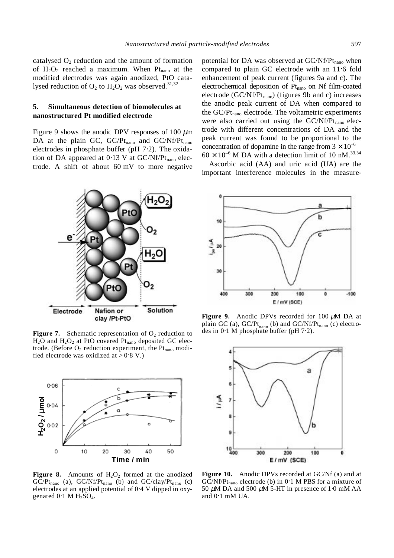catalysed  $O_2$  reduction and the amount of formation of  $H_2O_2$  reached a maximum. When  $Pt_{\text{nano}}$  at the modified electrodes was again anodized, PtO catalysed reduction of  $O_2$  to  $H_2O_2$  was observed.<sup>31,32</sup>

### **5. Simultaneous detection of biomolecules at nanostructured Pt modified electrode**

Figure 9 shows the anodic DPV responses of 100  $\mu$ m DA at the plain GC, GC/Pt<sub>nano</sub> and GC/Nf/Pt<sub>nano</sub> electrodes in phosphate buffer (pH 7⋅2). The oxidation of DA appeared at  $0.13$  V at GC/Nf/Pt<sub>nano</sub> electrode. A shift of about 60 mV to more negative potential for DA was observed at  $GC/Nf/Pt_{nano}$  when compared to plain GC electrode with an 11⋅6 fold enhancement of peak current (figures 9a and c). The electrochemical deposition of  $Pt<sub>nano</sub>$  on Nf film-coated electrode (GC/Nf/Pt<sub>nano</sub>) (figures 9b and c) increases the anodic peak current of DA when compared to the  $GC/Pt_{\text{nano}}$  electrode. The voltametric experiments were also carried out using the  $GC/Nf/Pt_{nano}$  electrode with different concentrations of DA and the peak current was found to be proportional to the concentration of dopamine in the range from  $3 \times 10^{-6}$  –  $60 \times 10^{-6}$  M DA with a detection limit of 10 nM.<sup>33,34</sup>

 Ascorbic acid (AA) and uric acid (UA) are the important interference molecules in the measure-



**Figure 7.** Schematic representation of  $O_2$  reduction to  $H_2O$  and  $H_2O_2$  at PtO covered Pt<sub>nano</sub> deposited GC electrode. (Before  $O_2$  reduction experiment, the Pt<sub>nano</sub> modified electrode was oxidized at >  $0.8$  V.)



**Figure 8.** Amounts of  $H_2O_2$  formed at the anodized  $G\overline{C}/Pt_{\text{nano}}$  (a),  $G\overline{C}/Nf/Pt_{\text{nano}}$  (b) and  $G\overline{C}/clay/Pt_{\text{nano}}$  (c) electrodes at an applied potential of 0⋅4 V dipped in oxygenated  $0.1$  M  $H<sub>2</sub>SO<sub>4</sub>$ .



**Figure 9.** Anodic DPVs recorded for 100  $\mu$ M DA at plain GC (a), GC/Pt<sub>nano</sub> (b) and GC/Nf/Pt<sub>nano</sub> (c) electrodes in 0⋅1 M phosphate buffer (pH 7⋅2).



**Figure 10.** Anodic DPVs recorded at GC/Nf (a) and at  $GC/Nf/Pt_{\text{nano}}$  electrode (b) in 0⋅1 M PBS for a mixture of 50  $\mu$ M DA and 500  $\mu$ M 5-HT in presence of 1⋅0 mM AA and 0⋅1 mM UA.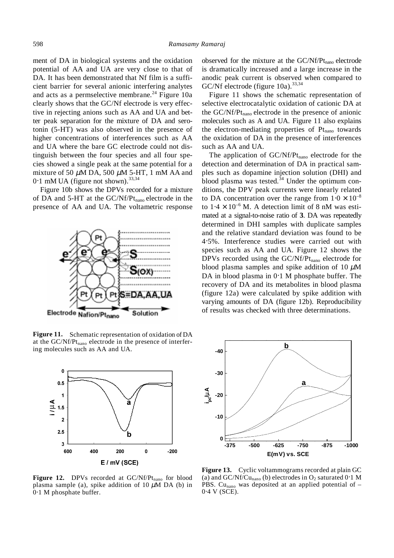ment of DA in biological systems and the oxidation potential of AA and UA are very close to that of DA. It has been demonstrated that Nf film is a sufficient barrier for several anionic interfering analytes and acts as a permselective membrane.<sup>24</sup> Figure 10a clearly shows that the GC/Nf electrode is very effective in rejecting anions such as AA and UA and better peak separation for the mixture of DA and serotonin (5-HT) was also observed in the presence of higher concentrations of interferences such as AA and UA where the bare GC electrode could not distinguish between the four species and all four species showed a single peak at the same potential for a mixture of 50  $\mu$ M DA, 500  $\mu$ M 5-HT, 1 mM AA and  $0.1$  mM UA (figure not shown).<sup>33,34</sup>

 Figure 10b shows the DPVs recorded for a mixture of DA and 5-HT at the  $GC/Nf/Pt_{\text{nano}}$  electrode in the presence of AA and UA. The voltametric response



**Figure 11.** Schematic representation of oxidation of DA at the  $GC/Nf/Pt_{\text{nano}}$  electrode in the presence of interfering molecules such as AA and UA.



Figure 12. DPVs recorded at GC/Nf/Pt<sub>nano</sub> for blood plasma sample (a), spike addition of 10  $\mu$ M DA (b) in 0⋅1 M phosphate buffer.

observed for the mixture at the  $GC/Nf/Pt_{\text{nano}}$  electrode is dramatically increased and a large increase in the anodic peak current is observed when compared to GC/Nf electrode (figure  $10a$ ).<sup>33,34</sup>

 Figure 11 shows the schematic representation of selective electrocatalytic oxidation of cationic DA at the  $GC/Nf/Pt_{\text{nano}}$  electrode in the presence of anionic molecules such as A and UA. Figure 11 also explains the electron-mediating properties of  $Pt<sub>nano</sub>$  towards the oxidation of DA in the presence of interferences such as AA and UA.

The application of  $GC/Nf/Pt_{\text{nano}}$  electrode for the detection and determination of DA in practical samples such as dopamine injection solution (DHI) and blood plasma was tested. $34$  Under the optimum conditions, the DPV peak currents were linearly related to DA concentration over the range from  $1 \cdot 0 \times 10^{-8}$ to  $1.4 \times 10^{-6}$  M. A detection limit of 8 nM was estimated at a signal-to-noise ratio of **3**. DA was repeatedly determined in DHI samples with duplicate samples and the relative standard deviation was found to be 4⋅5%. Interference studies were carried out with species such as AA and UA. Figure 12 shows the DPVs recorded using the  $GC/Nf/Pt_{nano}$  electrode for blood plasma samples and spike addition of 10  $\mu$ M DA in blood plasma in 0⋅1 M phosphate buffer. The recovery of DA and its metabolites in blood plasma (figure 12a) were calculated by spike addition with varying amounts of DA (figure 12b). Reproducibility of results was checked with three determinations.



**Figure 13.** Cyclic voltammograms recorded at plain GC (a) and GC/Nf/Cu<sub>nano</sub> (b) electrodes in  $O_2$  saturated 0⋅1 M PBS. Cunano was deposited at an applied potential of *–* 0⋅4 V (SCE).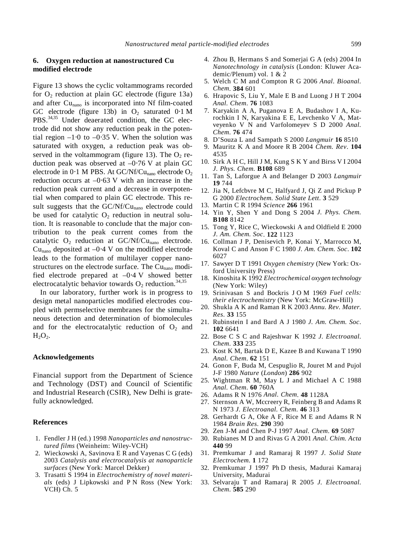# **6. Oxygen reduction at nanostructured Cu modified electrode**

Figure 13 shows the cyclic voltammograms recorded for  $O_2$  reduction at plain GC electrode (figure 13a) and after Cu<sub>nano</sub> is incorporated into Nf film-coated GC electrode (figure 13b) in  $O_2$  saturated 0⋅1 M PBS.<sup>34,35</sup> Under deaerated condition, the GC electrode did not show any reduction peak in the potential region –1⋅0 to *–*0⋅35 V. When the solution was saturated with oxygen, a reduction peak was observed in the voltammogram (figure 13). The  $O_2$  reduction peak was observed at *–*0⋅76 V at plain GC electrode in  $0.1$  M PBS. At GC/Nf/Cu<sub>nano</sub> electrode  $O_2$ reduction occurs at *–*0⋅63 V with an increase in the reduction peak current and a decrease in overpotential when compared to plain GC electrode. This result suggests that the  $GC/Nf/Cu_{\text{nano}}$  electrode could be used for catalytic  $O_2$  reduction in neutral solution. It is reasonable to conclude that the major contribution to the peak current comes from the catalytic  $O_2$  reduction at GC/Nf/Cu<sub>nano</sub> electrode. Cu<sub>nano</sub> deposited at  $-0.4$  V on the modified electrode leads to the formation of multilayer copper nanostructures on the electrode surface. The  $Cu<sub>nano</sub>$  modified electrode prepared at –0⋅4 V showed better electrocatalytic behavior towards  $O_2$  reduction.<sup>34,35</sup>

 In our laboratory, further work is in progress to design metal nanoparticles modified electrodes coupled with permselective membranes for the simultaneous detection and determination of biomolecules and for the electrocatalytic reduction of  $O_2$  and  $H_2O_2$ .

#### **Acknowledgements**

Financial support from the Department of Science and Technology (DST) and Council of Scientific and Industrial Research (CSIR), New Delhi is gratefully acknowledged.

#### **References**

- 1. Fendler J H (ed.) 1998 *Nanoparticles and nanostructured films* (Weinheim: Wiley-VCH)
- 2. Wieckowski A, Savinova E R and Vayenas C G (eds) 2003 *Catalysis and electrocatalysis at nanoparticle surfaces* (New York: Marcel Dekker)
- 3. Trasatti S 1994 in *Electrochemistry of novel materials* (eds) J Lipkowski and P N Ross (New York: VCH) Ch. 5
- 4. Zhou B, Hermans S and Somerjai G A (eds) 2004 In *Nanotechnology in catalysis* (London: Kluwer Academic/Plenum) vol. 1 & 2
- 5. Welch C M and Compton R G 2006 *Anal. Bioanal. Chem*. **384** 601
- 6. Hrapovic S, Liu Y, Male E B and Luong J H T 2004 *Anal. Chem*. **76** 1083
- 7. Karyakin A A, Puganova E A, Budashov I A, Kurochkin I N, Karyakina E E, Levchenko V A, Matveyenko V N and Varfolomeyev S D 2000 *Anal. Chem*. **76** 474
- 8. D'Souza L and Sampath S 2000 *Langmuir* **16** 8510
- 9. Mauritz K A and Moore R B 2004 *Chem. Rev*. **104** 4535
- 10. Sirk A H C, Hill J M, Kung S K Y and Birss V I 2004 *J. Phys. Chem.* **B108** 689
- 11. Tan S, Laforgue A and Belanger D 2003 *Langmuir* **19** 744
- 12. Jia N, Lefcbvre M C, Halfyard J, Qi Z and Pickup P G 2000 *Electrochem. Solid State Lett*. **3** 529
- 13. Martin C R 1994 *Science* **266** 1961
- 14. Yin Y, Shen Y and Dong S 2004 *J. Phys. Chem.*  **B108** 8142
- 15. Tong Y, Rice C, Wieckowski A and Oldfield E 2000 *J. Am. Chem. Soc*. **122** 1123
- 16. Collman J P, Denisevich P, Konai Y, Marrocco M, Koval C and Anson F C 1980 *J. Am. Chem. Soc*. **102** 6027
- 17. Sawyer D T 1991 *Oxygen chemistry* (New York: Oxford University Press)
- 18. Kinoshita K 1992 *Electrochemical oxygen technology* (New York: Wiley)
- 19. Srinivasan S and Bockris J O M 1969 *Fuel cells: their electrochemistry* (New York: McGraw-Hill)
- 20. Shukla A K and Raman R K 2003 *Annu. Rev. Mater. Res*. **33** 155
- 21. Rubinstein I and Bard A J 1980 *J. Am. Chem. Soc*. **102** 6641
- 22. Bose C S C and Rajeshwar K 1992 *J. Electroanal. Chem*. **333** 235
- 23. Kost K M, Bartak D E, Kazee B and Kuwana T 1990 *Anal. Chem*. **62** 151
- 24. Gonon F, Buda M, Cespuglio R, Jouret M and Pujol J-F 1980 *Nature* (*London*) **286** 902
- 25. Wightman R M, May L J and Michael A C 1988 *Anal. Chem*. **60** 760A
- 26. Adams R N 1976 *Anal. Chem*. **48** 1128A
- 27. Sternson A W, Mccreery R, Feinberg B and Adams R N 1973 *J. Electroanal. Chem*. **46** 313
- 28. Gerhardt G A, Oke A F, Rice M E and Adams R N 1984 *Brain Res*. **290** 390
- 29. Zen J-M and Chen P-J 1997 *Anal. Chem*. **69** 5087
- 30. Rubianes M D and Rivas G A 2001 *Anal. Chim. Acta* **440** 99
- 31. Premkumar J and Ramaraj R 1997 *J. Solid State Electrochem*. **1** 172
- 32. Premkumar J 1997 Ph D thesis, Madurai Kamaraj University, Madurai
- 33. Selvaraju T and Ramaraj R 2005 *J. Electroanal. Chem*. **585** 290